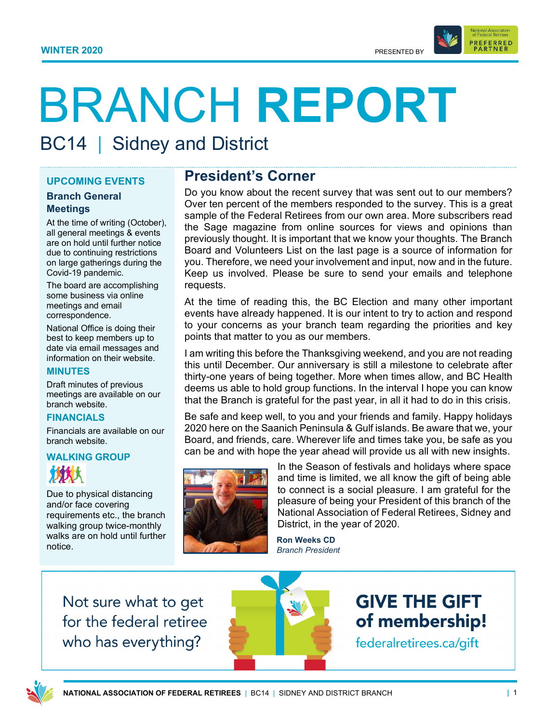

BC14 | Sidney and District

### **UPCOMING EVENTS**

#### **Branch General Meetings**

At the time of writing (October), all general meetings & events are on hold until further notice due to continuing restrictions on large gatherings during the Covid-19 pandemic.

The board are accomplishing some business via online meetings and email correspondence.

National Office is doing their best to keep members up to date via email messages and information on their website.

#### **MINUTES**

Draft minutes of previous meetings are available on our branch website.

#### **FINANCIALS**

Financials are available on our branch website.

## **WALKING GROUP** 竹竹大

Due to physical distancing and/or face covering requirements etc., the branch walking group twice-monthly walks are on hold until further notice.

# **President's Corner**

Do you know about the recent survey that was sent out to our members? Over ten percent of the members responded to the survey. This is a great sample of the Federal Retirees from our own area. More subscribers read the Sage magazine from online sources for views and opinions than previously thought. It is important that we know your thoughts. The Branch Board and Volunteers List on the last page is a source of information for you. Therefore, we need your involvement and input, now and in the future. Keep us involved. Please be sure to send your emails and telephone requests.

At the time of reading this, the BC Election and many other important events have already happened. It is our intent to try to action and respond to your concerns as your branch team regarding the priorities and key points that matter to you as our members.

I am writing this before the Thanksgiving weekend, and you are not reading this until December. Our anniversary is still a milestone to celebrate after thirty-one years of being together. More when times allow, and BC Health deems us able to hold group functions. In the interval I hope you can know that the Branch is grateful for the past year, in all it had to do in this crisis.

Be safe and keep well, to you and your friends and family. Happy holidays 2020 here on the Saanich Peninsula & Gulf islands. Be aware that we, your Board, and friends, care. Wherever life and times take you, be safe as you can be and with hope the year ahead will provide us all with new insights.



In the Season of festivals and holidays where space and time is limited, we all know the gift of being able to connect is a social pleasure. I am grateful for the pleasure of being your President of this branch of the National Association of Federal Retirees, Sidney and District, in the year of 2020.

**Ron Weeks CD** *Branch President*

Not sure what to get for the federal retiree who has everything?



**GIVE THE GIFT** of membership! federalretirees.ca/gift